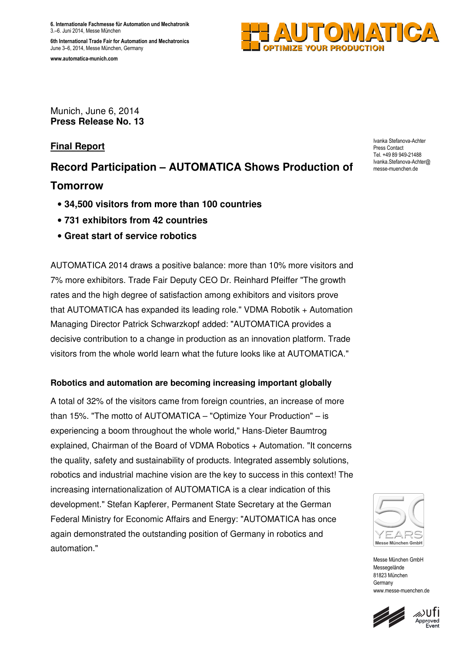**6. Internationale Fachmesse für Automation und Mechatronik** 3.–6. Juni 2014, Messe München

**6th International Trade Fair for Automation and Mechatronics**  June 3–6, 2014, Messe München, Germany

**www.automatica-munich.com** 



Munich, June 6, 2014 **Press Release No. 13** 

## **Final Report**

# **Record Participation – AUTOMATICA Shows Production of**

# **Tomorrow**

- **34,500 visitors from more than 100 countries**
- **731 exhibitors from 42 countries**
- **Great start of service robotics**

AUTOMATICA 2014 draws a positive balance: more than 10% more visitors and 7% more exhibitors. Trade Fair Deputy CEO Dr. Reinhard Pfeiffer "The growth rates and the high degree of satisfaction among exhibitors and visitors prove that AUTOMATICA has expanded its leading role." VDMA Robotik + Automation Managing Director Patrick Schwarzkopf added: "AUTOMATICA provides a decisive contribution to a change in production as an innovation platform. Trade visitors from the whole world learn what the future looks like at AUTOMATICA."

### **Robotics and automation are becoming increasing important globally**

A total of 32% of the visitors came from foreign countries, an increase of more than 15%. "The motto of AUTOMATICA – "Optimize Your Production" – is experiencing a boom throughout the whole world," Hans-Dieter Baumtrog explained, Chairman of the Board of VDMA Robotics + Automation. "It concerns the quality, safety and sustainability of products. Integrated assembly solutions, robotics and industrial machine vision are the key to success in this context! The increasing internationalization of AUTOMATICA is a clear indication of this development." Stefan Kapferer, Permanent State Secretary at the German Federal Ministry for Economic Affairs and Energy: "AUTOMATICA has once again demonstrated the outstanding position of Germany in robotics and automation."



Messe München GmbH Messegelände 81823 München **Germany** www.messe-muenchen.de





Ivanka Stefanova-Achter Press Contact Tel. +49 89 949-21488 Ivanka.Stefanova-Achter@ messe-muenchen.de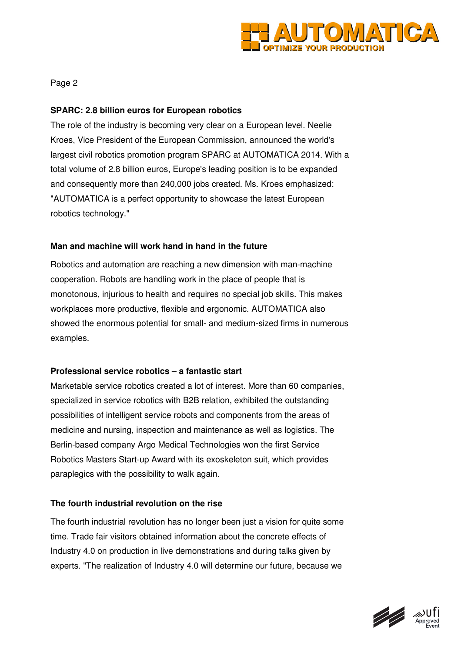

Page 2

#### **SPARC: 2.8 billion euros for European robotics**

The role of the industry is becoming very clear on a European level. Neelie Kroes, Vice President of the European Commission, announced the world's largest civil robotics promotion program SPARC at AUTOMATICA 2014. With a total volume of 2.8 billion euros, Europe's leading position is to be expanded and consequently more than 240,000 jobs created. Ms. Kroes emphasized: "AUTOMATICA is a perfect opportunity to showcase the latest European robotics technology."

#### **Man and machine will work hand in hand in the future**

Robotics and automation are reaching a new dimension with man-machine cooperation. Robots are handling work in the place of people that is monotonous, injurious to health and requires no special job skills. This makes workplaces more productive, flexible and ergonomic. AUTOMATICA also showed the enormous potential for small- and medium-sized firms in numerous examples.

#### **Professional service robotics – a fantastic start**

Marketable service robotics created a lot of interest. More than 60 companies, specialized in service robotics with B2B relation, exhibited the outstanding possibilities of intelligent service robots and components from the areas of medicine and nursing, inspection and maintenance as well as logistics. The Berlin-based company Argo Medical Technologies won the first Service Robotics Masters Start-up Award with its exoskeleton suit, which provides paraplegics with the possibility to walk again.

#### **The fourth industrial revolution on the rise**

The fourth industrial revolution has no longer been just a vision for quite some time. Trade fair visitors obtained information about the concrete effects of Industry 4.0 on production in live demonstrations and during talks given by experts. "The realization of Industry 4.0 will determine our future, because we

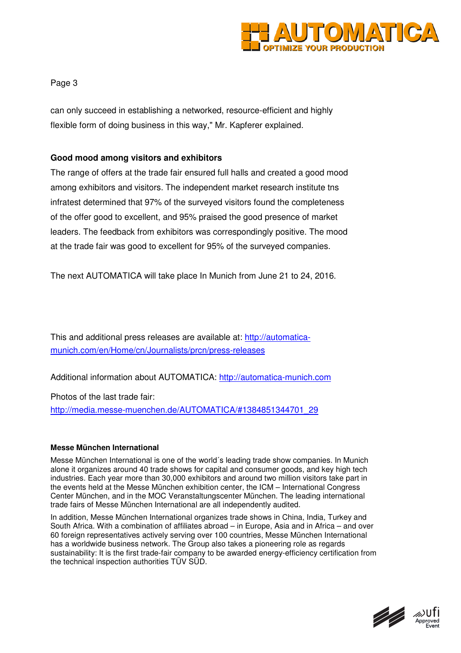

Page 3

can only succeed in establishing a networked, resource-efficient and highly flexible form of doing business in this way," Mr. Kapferer explained.

#### **Good mood among visitors and exhibitors**

The range of offers at the trade fair ensured full halls and created a good mood among exhibitors and visitors. The independent market research institute tns infratest determined that 97% of the surveyed visitors found the completeness of the offer good to excellent, and 95% praised the good presence of market leaders. The feedback from exhibitors was correspondingly positive. The mood at the trade fair was good to excellent for 95% of the surveyed companies.

The next AUTOMATICA will take place In Munich from June 21 to 24, 2016.

This and additional press releases are available at: http://automaticamunich.com/en/Home/cn/Journalists/prcn/press-releases

Additional information about AUTOMATICA: http://automatica-munich.com

Photos of the last trade fair:

http://media.messe-muenchen.de/AUTOMATICA/#1384851344701\_29

#### **Messe München International**

Messe München International is one of the world´s leading trade show companies. In Munich alone it organizes around 40 trade shows for capital and consumer goods, and key high tech industries. Each year more than 30,000 exhibitors and around two million visitors take part in the events held at the Messe München exhibition center, the ICM – International Congress Center München, and in the MOC Veranstaltungscenter München. The leading international trade fairs of Messe München International are all independently audited.

In addition, Messe München International organizes trade shows in China, India, Turkey and South Africa. With a combination of affiliates abroad – in Europe, Asia and in Africa – and over 60 foreign representatives actively serving over 100 countries, Messe München International has a worldwide business network. The Group also takes a pioneering role as regards sustainability: It is the first trade-fair company to be awarded energy-efficiency certification from the technical inspection authorities TÜV SÜD.